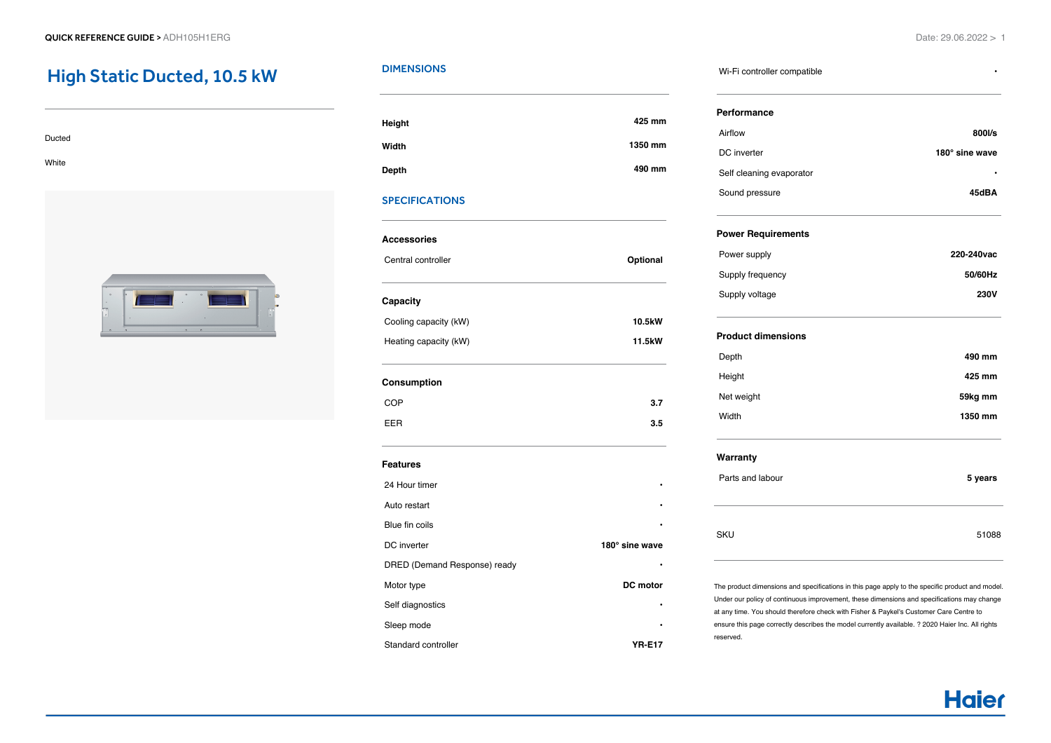# High Static Ducted, 10.5 kW

| Ducted |  |  |  |
|--------|--|--|--|
|        |  |  |  |
| White  |  |  |  |



## **DIMENSIONS**

| Height | 425 mm  |
|--------|---------|
| Width  | 1350 mm |
| Depth  | 490 mm  |

## SPECIFICATIONS

| <b>Accessories</b>           |                 |  |  |  |
|------------------------------|-----------------|--|--|--|
| Central controller           | Optional        |  |  |  |
| Capacity                     |                 |  |  |  |
| Cooling capacity (kW)        | 10.5kW          |  |  |  |
| Heating capacity (kW)        | 11.5kW          |  |  |  |
| Consumption                  |                 |  |  |  |
| COP                          | 3.7             |  |  |  |
| <b>EER</b>                   | 3.5             |  |  |  |
| <b>Features</b>              |                 |  |  |  |
| 24 Hour timer                |                 |  |  |  |
| Auto restart                 |                 |  |  |  |
| Blue fin coils               |                 |  |  |  |
| DC inverter                  | 180° sine wave  |  |  |  |
| DRED (Demand Response) ready |                 |  |  |  |
| Motor type                   | <b>DC</b> motor |  |  |  |
| Self diagnostics             |                 |  |  |  |
| Sleep mode                   |                 |  |  |  |
| Standard controller          | <b>YR-E17</b>   |  |  |  |

#### Wi-Fi controller compatible **•**

| 800l/s         |       |
|----------------|-------|
| 180° sine wave |       |
|                | 45dBA |
|                |       |
| 220-240 vac    |       |
| 50/60Hz        |       |
| <b>230V</b>    |       |
|                |       |
| 490 mm         |       |
| 425 mm         |       |
| 59kg mm        |       |
| 1350 mm        |       |
|                |       |
| 5 years        |       |
| 51088          |       |
|                |       |

The product dimensions and specifications in this page apply to the specific product and model. Under our policy of continuous improvement, these dimensions and specifications may change at any time. You should therefore check with Fisher & Paykel's Customer Care Centre to ensure this page correctly describes the model currently available. ? 2020 Haier Inc. All rights reserved.